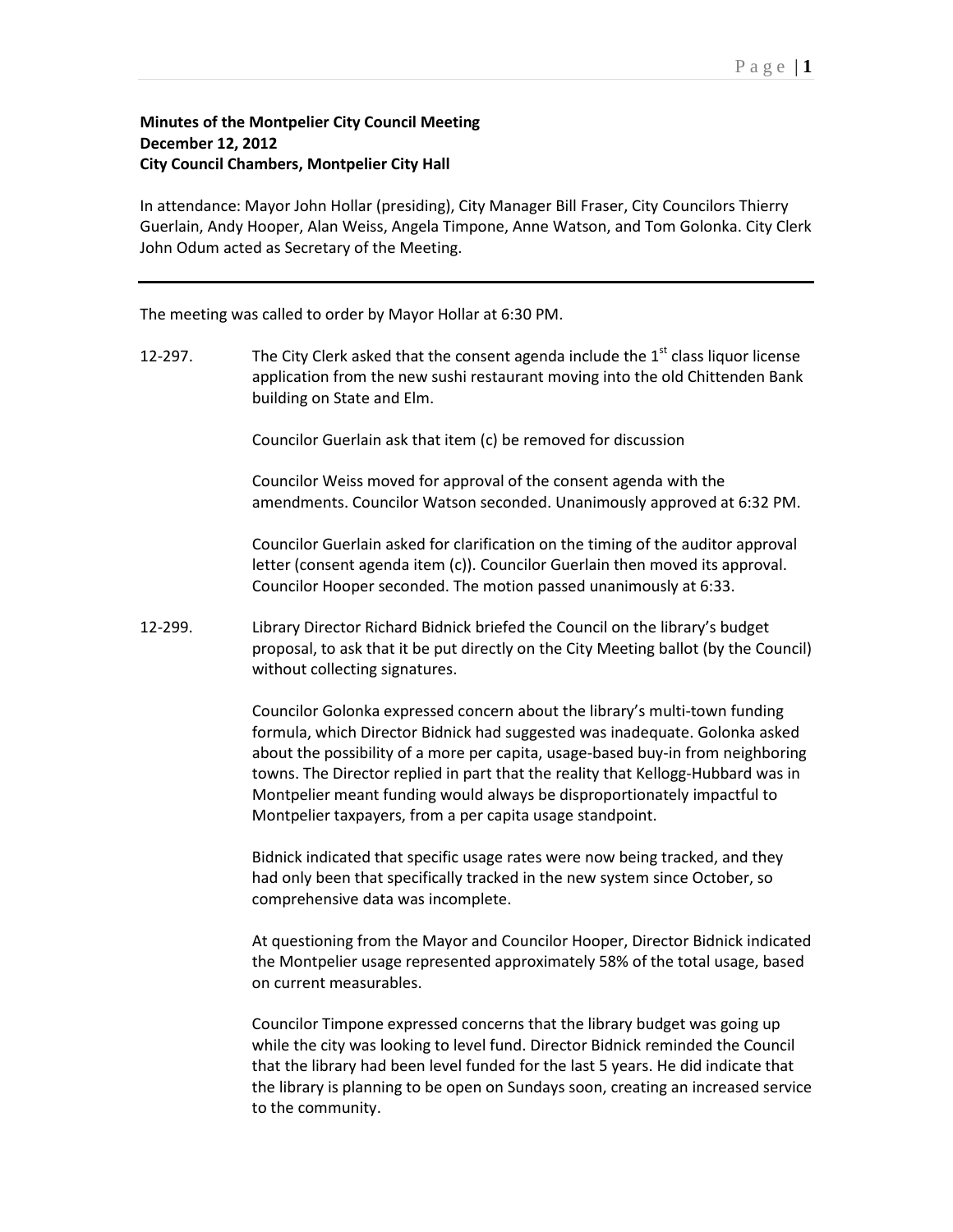## Page  $|1$

## **Minutes of the Montpelier City Council Meeting December 12, 2012 City Council Chambers, Montpelier City Hall**

In attendance: Mayor John Hollar (presiding), City Manager Bill Fraser, City Councilors Thierry Guerlain, Andy Hooper, Alan Weiss, Angela Timpone, Anne Watson, and Tom Golonka. City Clerk John Odum acted as Secretary of the Meeting.

The meeting was called to order by Mayor Hollar at 6:30 PM.

12-297. The City Clerk asked that the consent agenda include the  $1<sup>st</sup>$  class liquor license application from the new sushi restaurant moving into the old Chittenden Bank building on State and Elm.

Councilor Guerlain ask that item (c) be removed for discussion

Councilor Weiss moved for approval of the consent agenda with the amendments. Councilor Watson seconded. Unanimously approved at 6:32 PM.

Councilor Guerlain asked for clarification on the timing of the auditor approval letter (consent agenda item (c)). Councilor Guerlain then moved its approval. Councilor Hooper seconded. The motion passed unanimously at 6:33.

12-299. Library Director Richard Bidnick briefed the Council on the library's budget proposal, to ask that it be put directly on the City Meeting ballot (by the Council) without collecting signatures.

> Councilor Golonka expressed concern about the library's multi-town funding formula, which Director Bidnick had suggested was inadequate. Golonka asked about the possibility of a more per capita, usage-based buy-in from neighboring towns. The Director replied in part that the reality that Kellogg-Hubbard was in Montpelier meant funding would always be disproportionately impactful to Montpelier taxpayers, from a per capita usage standpoint.

Bidnick indicated that specific usage rates were now being tracked, and they had only been that specifically tracked in the new system since October, so comprehensive data was incomplete.

At questioning from the Mayor and Councilor Hooper, Director Bidnick indicated the Montpelier usage represented approximately 58% of the total usage, based on current measurables.

Councilor Timpone expressed concerns that the library budget was going up while the city was looking to level fund. Director Bidnick reminded the Council that the library had been level funded for the last 5 years. He did indicate that the library is planning to be open on Sundays soon, creating an increased service to the community.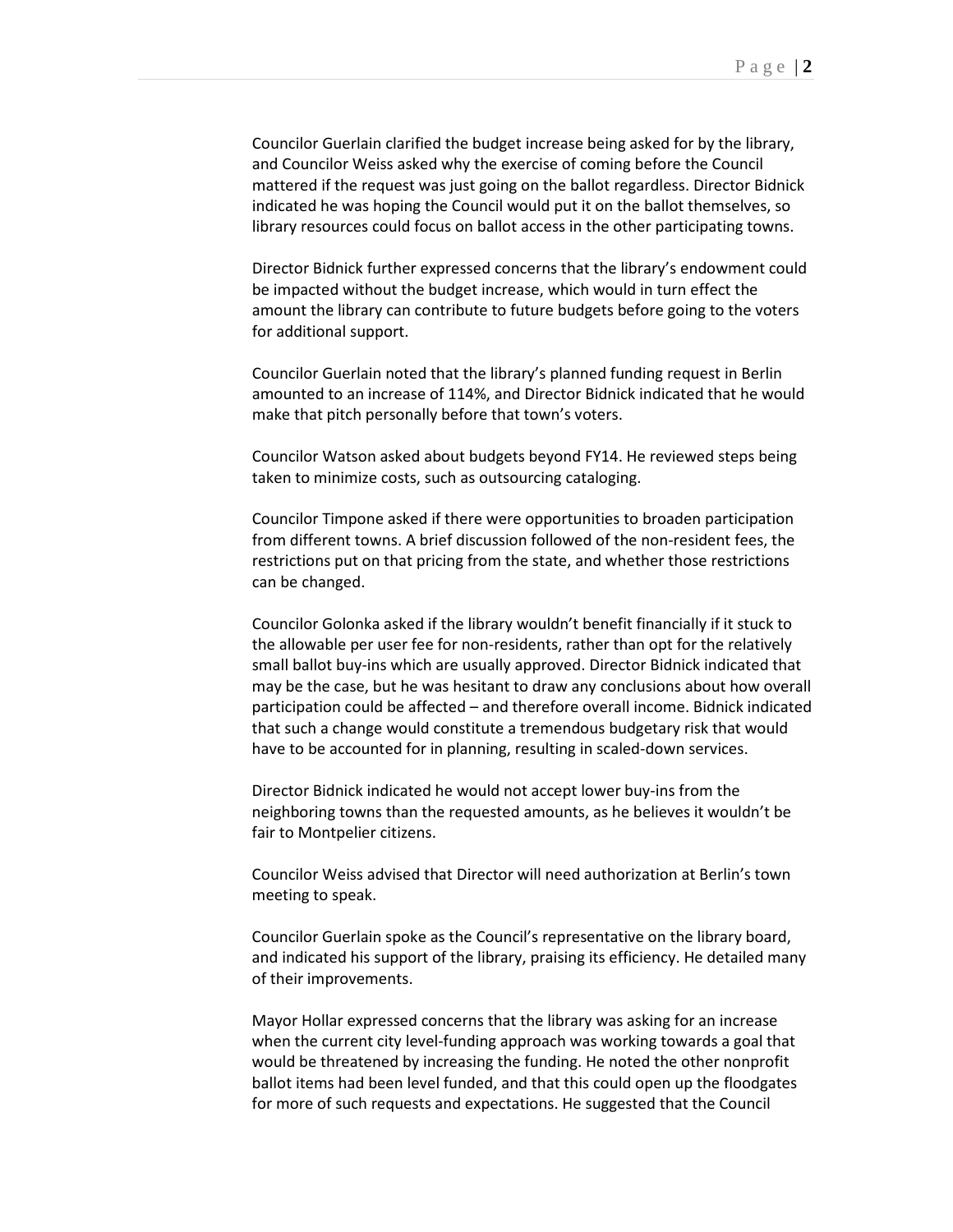Councilor Guerlain clarified the budget increase being asked for by the library, and Councilor Weiss asked why the exercise of coming before the Council mattered if the request was just going on the ballot regardless. Director Bidnick indicated he was hoping the Council would put it on the ballot themselves, so library resources could focus on ballot access in the other participating towns.

Director Bidnick further expressed concerns that the library's endowment could be impacted without the budget increase, which would in turn effect the amount the library can contribute to future budgets before going to the voters for additional support.

Councilor Guerlain noted that the library's planned funding request in Berlin amounted to an increase of 114%, and Director Bidnick indicated that he would make that pitch personally before that town's voters.

Councilor Watson asked about budgets beyond FY14. He reviewed steps being taken to minimize costs, such as outsourcing cataloging.

Councilor Timpone asked if there were opportunities to broaden participation from different towns. A brief discussion followed of the non-resident fees, the restrictions put on that pricing from the state, and whether those restrictions can be changed.

Councilor Golonka asked if the library wouldn't benefit financially if it stuck to the allowable per user fee for non-residents, rather than opt for the relatively small ballot buy-ins which are usually approved. Director Bidnick indicated that may be the case, but he was hesitant to draw any conclusions about how overall participation could be affected – and therefore overall income. Bidnick indicated that such a change would constitute a tremendous budgetary risk that would have to be accounted for in planning, resulting in scaled-down services.

Director Bidnick indicated he would not accept lower buy-ins from the neighboring towns than the requested amounts, as he believes it wouldn't be fair to Montpelier citizens.

Councilor Weiss advised that Director will need authorization at Berlin's town meeting to speak.

Councilor Guerlain spoke as the Council's representative on the library board, and indicated his support of the library, praising its efficiency. He detailed many of their improvements.

Mayor Hollar expressed concerns that the library was asking for an increase when the current city level-funding approach was working towards a goal that would be threatened by increasing the funding. He noted the other nonprofit ballot items had been level funded, and that this could open up the floodgates for more of such requests and expectations. He suggested that the Council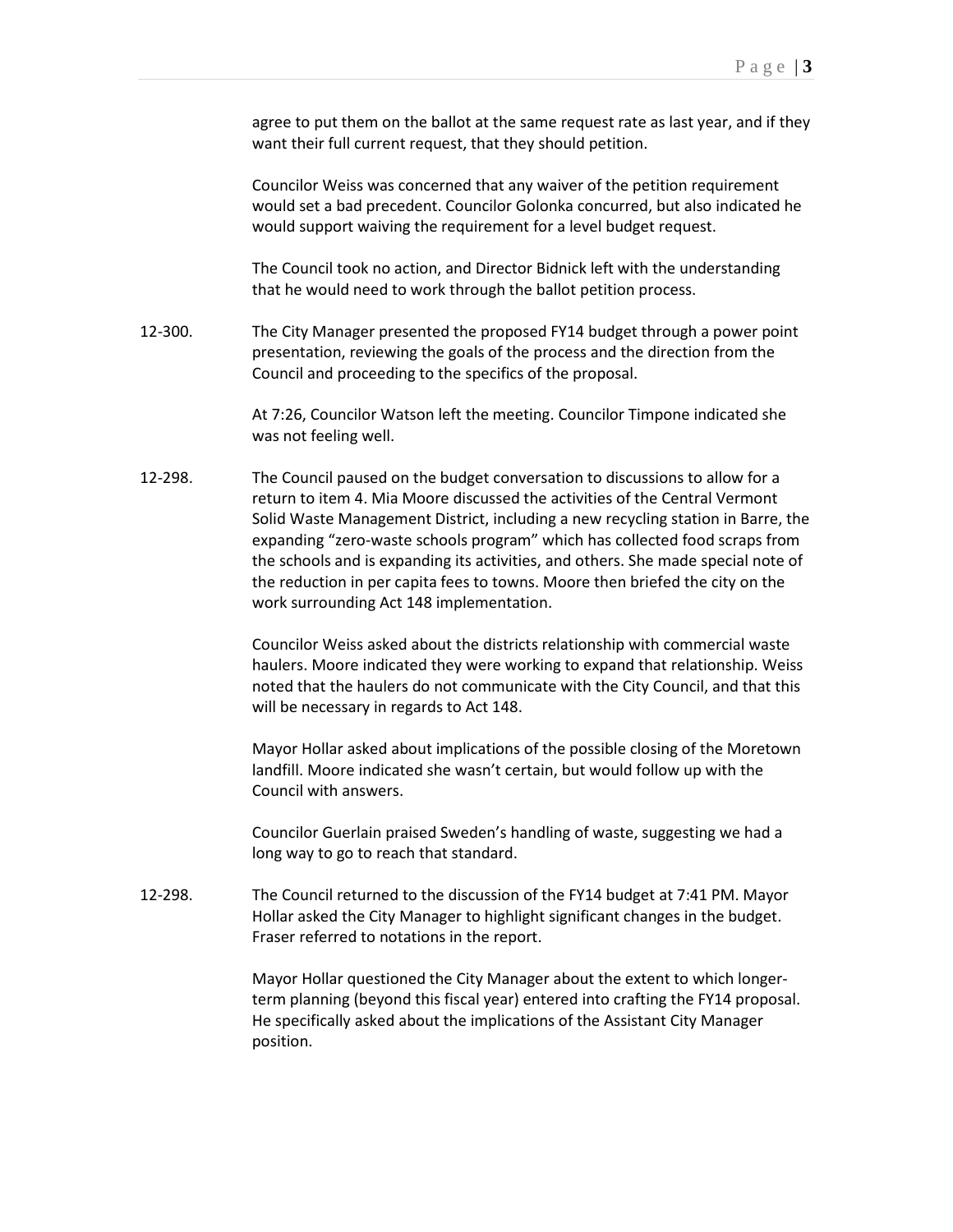agree to put them on the ballot at the same request rate as last year, and if they want their full current request, that they should petition.

Councilor Weiss was concerned that any waiver of the petition requirement would set a bad precedent. Councilor Golonka concurred, but also indicated he would support waiving the requirement for a level budget request.

The Council took no action, and Director Bidnick left with the understanding that he would need to work through the ballot petition process.

12-300. The City Manager presented the proposed FY14 budget through a power point presentation, reviewing the goals of the process and the direction from the Council and proceeding to the specifics of the proposal.

> At 7:26, Councilor Watson left the meeting. Councilor Timpone indicated she was not feeling well.

12-298. The Council paused on the budget conversation to discussions to allow for a return to item 4. Mia Moore discussed the activities of the Central Vermont Solid Waste Management District, including a new recycling station in Barre, the expanding "zero-waste schools program" which has collected food scraps from the schools and is expanding its activities, and others. She made special note of the reduction in per capita fees to towns. Moore then briefed the city on the work surrounding Act 148 implementation.

> Councilor Weiss asked about the districts relationship with commercial waste haulers. Moore indicated they were working to expand that relationship. Weiss noted that the haulers do not communicate with the City Council, and that this will be necessary in regards to Act 148.

> Mayor Hollar asked about implications of the possible closing of the Moretown landfill. Moore indicated she wasn't certain, but would follow up with the Council with answers.

Councilor Guerlain praised Sweden's handling of waste, suggesting we had a long way to go to reach that standard.

12-298. The Council returned to the discussion of the FY14 budget at 7:41 PM. Mayor Hollar asked the City Manager to highlight significant changes in the budget. Fraser referred to notations in the report.

> Mayor Hollar questioned the City Manager about the extent to which longerterm planning (beyond this fiscal year) entered into crafting the FY14 proposal. He specifically asked about the implications of the Assistant City Manager position.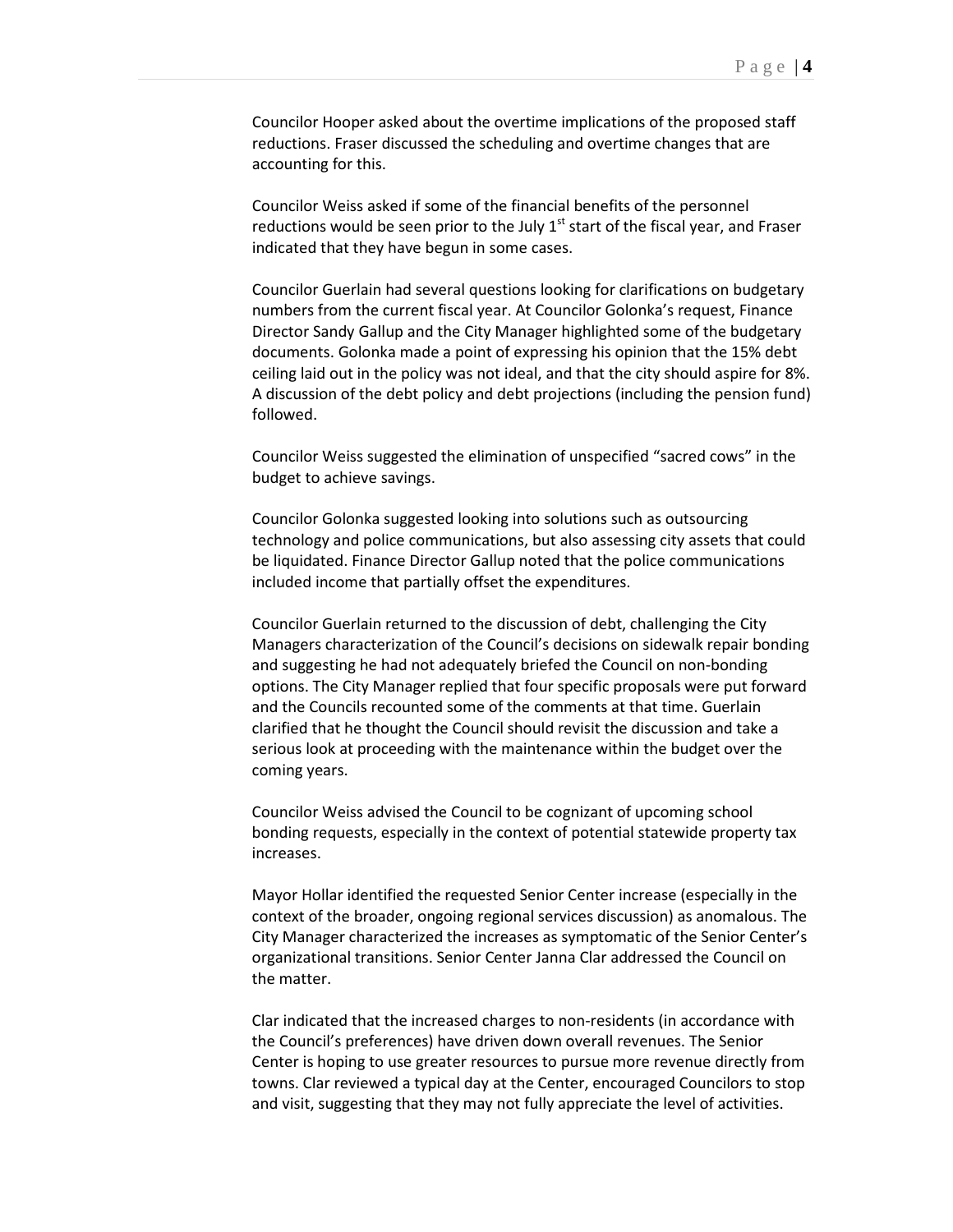Councilor Hooper asked about the overtime implications of the proposed staff reductions. Fraser discussed the scheduling and overtime changes that are accounting for this.

Councilor Weiss asked if some of the financial benefits of the personnel reductions would be seen prior to the July  $1<sup>st</sup>$  start of the fiscal year, and Fraser indicated that they have begun in some cases.

Councilor Guerlain had several questions looking for clarifications on budgetary numbers from the current fiscal year. At Councilor Golonka's request, Finance Director Sandy Gallup and the City Manager highlighted some of the budgetary documents. Golonka made a point of expressing his opinion that the 15% debt ceiling laid out in the policy was not ideal, and that the city should aspire for 8%. A discussion of the debt policy and debt projections (including the pension fund) followed.

Councilor Weiss suggested the elimination of unspecified "sacred cows" in the budget to achieve savings.

Councilor Golonka suggested looking into solutions such as outsourcing technology and police communications, but also assessing city assets that could be liquidated. Finance Director Gallup noted that the police communications included income that partially offset the expenditures.

Councilor Guerlain returned to the discussion of debt, challenging the City Managers characterization of the Council's decisions on sidewalk repair bonding and suggesting he had not adequately briefed the Council on non-bonding options. The City Manager replied that four specific proposals were put forward and the Councils recounted some of the comments at that time. Guerlain clarified that he thought the Council should revisit the discussion and take a serious look at proceeding with the maintenance within the budget over the coming years.

Councilor Weiss advised the Council to be cognizant of upcoming school bonding requests, especially in the context of potential statewide property tax increases.

Mayor Hollar identified the requested Senior Center increase (especially in the context of the broader, ongoing regional services discussion) as anomalous. The City Manager characterized the increases as symptomatic of the Senior Center's organizational transitions. Senior Center Janna Clar addressed the Council on the matter.

Clar indicated that the increased charges to non-residents (in accordance with the Council's preferences) have driven down overall revenues. The Senior Center is hoping to use greater resources to pursue more revenue directly from towns. Clar reviewed a typical day at the Center, encouraged Councilors to stop and visit, suggesting that they may not fully appreciate the level of activities.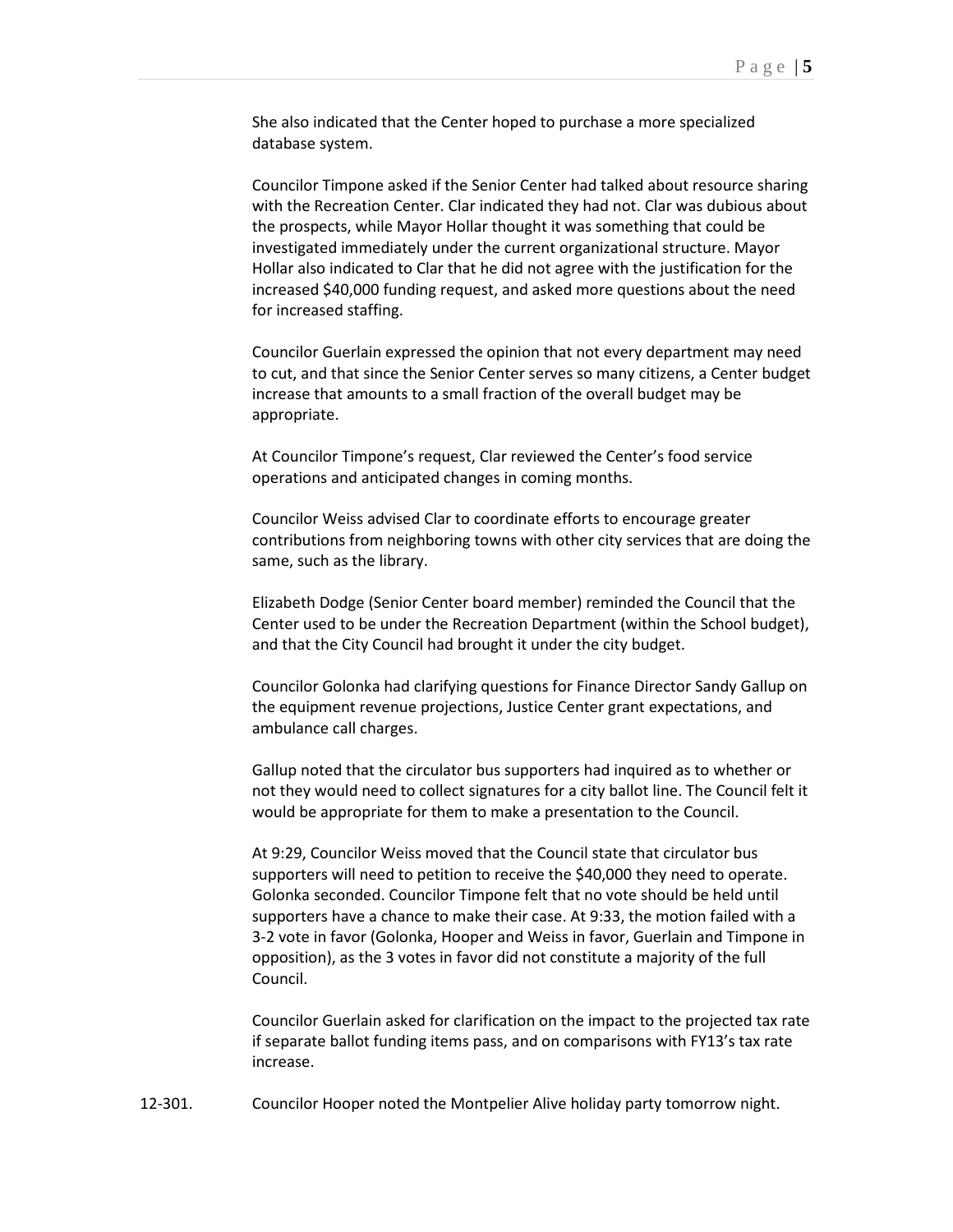She also indicated that the Center hoped to purchase a more specialized database system.

Councilor Timpone asked if the Senior Center had talked about resource sharing with the Recreation Center. Clar indicated they had not. Clar was dubious about the prospects, while Mayor Hollar thought it was something that could be investigated immediately under the current organizational structure. Mayor Hollar also indicated to Clar that he did not agree with the justification for the increased \$40,000 funding request, and asked more questions about the need for increased staffing.

Councilor Guerlain expressed the opinion that not every department may need to cut, and that since the Senior Center serves so many citizens, a Center budget increase that amounts to a small fraction of the overall budget may be appropriate.

At Councilor Timpone's request, Clar reviewed the Center's food service operations and anticipated changes in coming months.

Councilor Weiss advised Clar to coordinate efforts to encourage greater contributions from neighboring towns with other city services that are doing the same, such as the library.

Elizabeth Dodge (Senior Center board member) reminded the Council that the Center used to be under the Recreation Department (within the School budget), and that the City Council had brought it under the city budget.

Councilor Golonka had clarifying questions for Finance Director Sandy Gallup on the equipment revenue projections, Justice Center grant expectations, and ambulance call charges.

Gallup noted that the circulator bus supporters had inquired as to whether or not they would need to collect signatures for a city ballot line. The Council felt it would be appropriate for them to make a presentation to the Council.

At 9:29, Councilor Weiss moved that the Council state that circulator bus supporters will need to petition to receive the \$40,000 they need to operate. Golonka seconded. Councilor Timpone felt that no vote should be held until supporters have a chance to make their case. At 9:33, the motion failed with a 3-2 vote in favor (Golonka, Hooper and Weiss in favor, Guerlain and Timpone in opposition), as the 3 votes in favor did not constitute a majority of the full Council.

Councilor Guerlain asked for clarification on the impact to the projected tax rate if separate ballot funding items pass, and on comparisons with FY13's tax rate increase.

12-301. Councilor Hooper noted the Montpelier Alive holiday party tomorrow night.